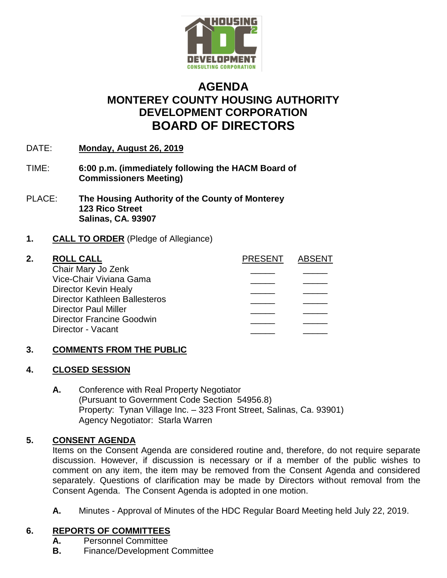

# **AGENDA MONTEREY COUNTY HOUSING AUTHORITY DEVELOPMENT CORPORATION BOARD OF DIRECTORS**

- DATE: **Monday, August 26, 2019**
- TIME: **6:00 p.m. (immediately following the HACM Board of Commissioners Meeting)**
- PLACE: **The Housing Authority of the County of Monterey 123 Rico Street Salinas, CA. 93907**

## **1. CALL TO ORDER** (Pledge of Allegiance)

#### **2. ROLL CALL PRESENT ABSENT** Chair Mary Jo Zenk Vice-Chair Viviana Gama \_\_\_\_\_ \_\_\_\_\_ Director Kevin Healy Director Kathleen Ballesteros \_\_\_\_\_ \_\_\_\_\_ Director Paul Miller Director Francine Goodwin Director - Vacant

# **3. COMMENTS FROM THE PUBLIC**

#### **4. CLOSED SESSION**

**A.** Conference with Real Property Negotiator (Pursuant to Government Code Section 54956.8) Property: Tynan Village Inc. – 323 Front Street, Salinas, Ca. 93901) Agency Negotiator: Starla Warren

#### **5. CONSENT AGENDA**

Items on the Consent Agenda are considered routine and, therefore, do not require separate discussion. However, if discussion is necessary or if a member of the public wishes to comment on any item, the item may be removed from the Consent Agenda and considered separately. Questions of clarification may be made by Directors without removal from the Consent Agenda. The Consent Agenda is adopted in one motion.

**A.** Minutes - Approval of Minutes of the HDC Regular Board Meeting held July 22, 2019.

#### **6. REPORTS OF COMMITTEES**

- **A.** Personnel Committee
- **B.** Finance/Development Committee